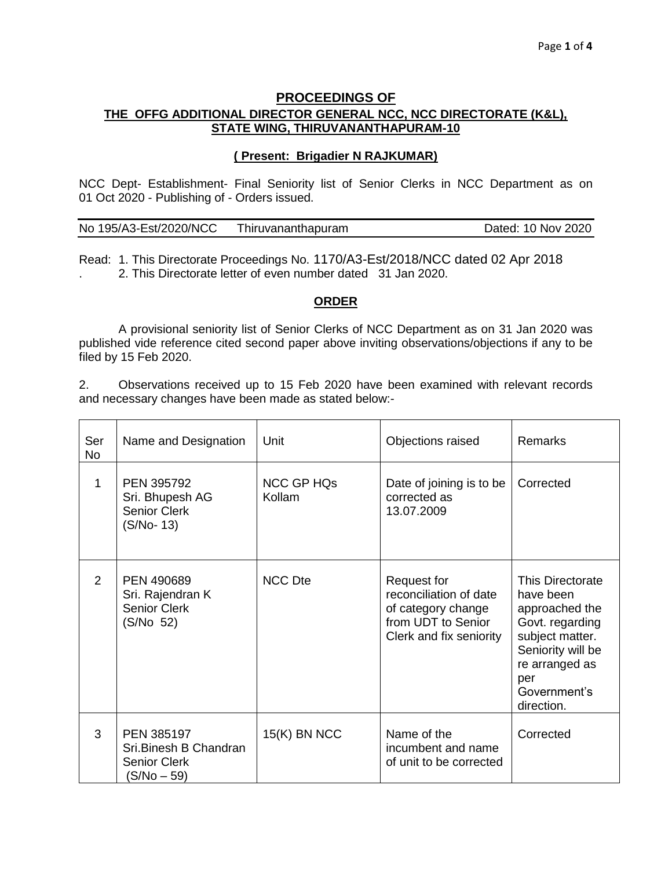# **PROCEEDINGS OF THE OFFG ADDITIONAL DIRECTOR GENERAL NCC, NCC DIRECTORATE (K&L), STATE WING, THIRUVANANTHAPURAM-10**

### **( Present: Brigadier N RAJKUMAR)**

NCC Dept- Establishment- Final Seniority list of Senior Clerks in NCC Department as on 01 Oct 2020 - Publishing of - Orders issued.

| No 195/A3-Est/2020/NCC | Thiruvananthapuram | Dated: 10 Nov 2020 |
|------------------------|--------------------|--------------------|
|------------------------|--------------------|--------------------|

Read: 1. This Directorate Proceedings No. 1170/A3-Est/2018/NCC dated 02 Apr 2018 . 2. This Directorate letter of even number dated 31 Jan 2020.

## **ORDER**

A provisional seniority list of Senior Clerks of NCC Department as on 31 Jan 2020 was published vide reference cited second paper above inviting observations/objections if any to be filed by 15 Feb 2020.

2. Observations received up to 15 Feb 2020 have been examined with relevant records and necessary changes have been made as stated below:-

| Ser<br><b>No</b> | Name and Designation                                                       | Unit                        | Objections raised                                                                                            | <b>Remarks</b>                                                                                                                                                    |
|------------------|----------------------------------------------------------------------------|-----------------------------|--------------------------------------------------------------------------------------------------------------|-------------------------------------------------------------------------------------------------------------------------------------------------------------------|
| 1                | <b>PEN 395792</b><br>Sri. Bhupesh AG<br><b>Senior Clerk</b><br>$(S/No-13)$ | <b>NCC GP HQs</b><br>Kollam | Date of joining is to be<br>corrected as<br>13.07.2009                                                       | Corrected                                                                                                                                                         |
| 2                | PEN 490689<br>Sri. Rajendran K<br><b>Senior Clerk</b><br>(S/No 52)         | <b>NCC Dte</b>              | Request for<br>reconciliation of date<br>of category change<br>from UDT to Senior<br>Clerk and fix seniority | This Directorate<br>have been<br>approached the<br>Govt. regarding<br>subject matter.<br>Seniority will be<br>re arranged as<br>per<br>Government's<br>direction. |
| 3                | PEN 385197<br>Sri.Binesh B Chandran<br><b>Senior Clerk</b><br>(S/No – 59)  | $15(K)$ BN NCC              | Name of the<br>incumbent and name<br>of unit to be corrected                                                 | Corrected                                                                                                                                                         |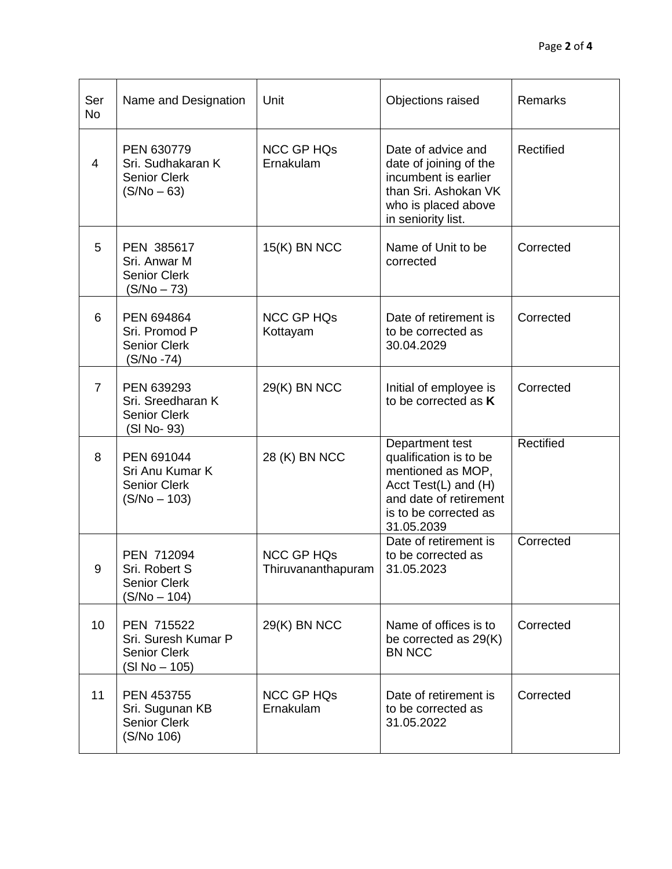| Ser<br><b>No</b> | Name and Designation                                                      | Unit                                    | Objections raised                                                                                                                                       | Remarks   |
|------------------|---------------------------------------------------------------------------|-----------------------------------------|---------------------------------------------------------------------------------------------------------------------------------------------------------|-----------|
| 4                | PEN 630779<br>Sri. Sudhakaran K<br><b>Senior Clerk</b><br>$(S/No - 63)$   | <b>NCC GP HQs</b><br>Ernakulam          | Date of advice and<br>date of joining of the<br>incumbent is earlier<br>than Sri. Ashokan VK<br>who is placed above<br>in seniority list.               | Rectified |
| 5                | PEN 385617<br>Sri. Anwar M<br><b>Senior Clerk</b><br>$(S/No - 73)$        | $15(K)$ BN NCC                          | Name of Unit to be<br>corrected                                                                                                                         | Corrected |
| 6                | PEN 694864<br>Sri. Promod P<br><b>Senior Clerk</b><br>(S/No -74)          | <b>NCC GP HQs</b><br>Kottayam           | Date of retirement is<br>to be corrected as<br>30.04.2029                                                                                               | Corrected |
| $\overline{7}$   | PEN 639293<br>Sri. Sreedharan K<br><b>Senior Clerk</b><br>(SI No-93)      | 29(K) BN NCC                            | Initial of employee is<br>to be corrected as K                                                                                                          | Corrected |
| 8                | PEN 691044<br>Sri Anu Kumar K<br><b>Senior Clerk</b><br>$(S/No - 103)$    | 28 (K) BN NCC                           | Department test<br>qualification is to be<br>mentioned as MOP,<br>Acct Test(L) and (H)<br>and date of retirement<br>is to be corrected as<br>31.05.2039 | Rectified |
| 9                | PEN 712094<br>Sri. Robert S<br><b>Senior Clerk</b><br>$(S/No - 104)$      | <b>NCC GP HQs</b><br>Thiruvananthapuram | Date of retirement is<br>to be corrected as<br>31.05.2023                                                                                               | Corrected |
| 10               | PEN 715522<br>Sri. Suresh Kumar P<br><b>Senior Clerk</b><br>(SI No – 105) | 29(K) BN NCC                            | Name of offices is to<br>be corrected as 29(K)<br><b>BN NCC</b>                                                                                         | Corrected |
| 11               | <b>PEN 453755</b><br>Sri. Sugunan KB<br><b>Senior Clerk</b><br>(S/No 106) | <b>NCC GP HQs</b><br>Ernakulam          | Date of retirement is<br>to be corrected as<br>31.05.2022                                                                                               | Corrected |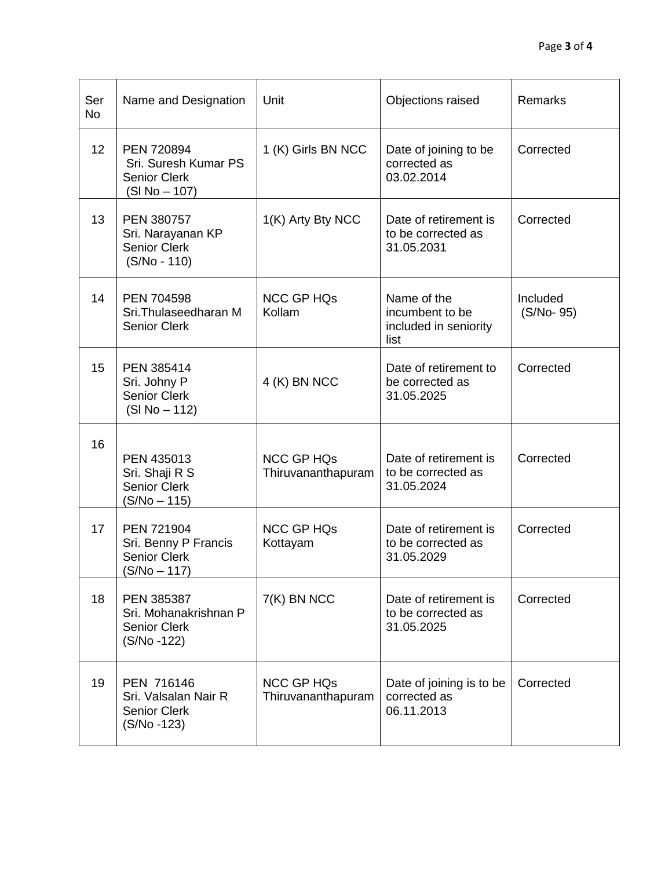| Ser<br><b>No</b> | Name and Designation                                                        | Unit                                    | Objections raised                                               | Remarks               |
|------------------|-----------------------------------------------------------------------------|-----------------------------------------|-----------------------------------------------------------------|-----------------------|
| 12               | PEN 720894<br>Sri. Suresh Kumar PS<br><b>Senior Clerk</b><br>(SI No - 107)  | 1 (K) Girls BN NCC                      | Date of joining to be<br>corrected as<br>03.02.2014             | Corrected             |
| 13               | PEN 380757<br>Sri. Narayanan KP<br><b>Senior Clerk</b><br>(S/No - 110)      | 1(K) Arty Bty NCC                       | Date of retirement is<br>to be corrected as<br>31.05.2031       | Corrected             |
| 14               | PEN 704598<br>Sri.Thulaseedharan M<br><b>Senior Clerk</b>                   | <b>NCC GP HQs</b><br>Kollam             | Name of the<br>incumbent to be<br>included in seniority<br>list | Included<br>(S/No-95) |
| 15               | PEN 385414<br>Sri. Johny P<br><b>Senior Clerk</b><br>$(SI No - 112)$        | 4 (K) BN NCC                            | Date of retirement to<br>be corrected as<br>31.05.2025          | Corrected             |
| 16               | PEN 435013<br>Sri. Shaji R S<br><b>Senior Clerk</b><br>(S/No – 115)         | <b>NCC GP HQs</b><br>Thiruvananthapuram | Date of retirement is<br>to be corrected as<br>31.05.2024       | Corrected             |
| 17               | PEN 721904<br>Sri. Benny P Francis<br><b>Senior Clerk</b><br>$(S/No - 117)$ | <b>NCC GP HQs</b><br>Kottayam           | Date of retirement is<br>to be corrected as<br>31.05.2029       | Corrected             |
| 18               | PEN 385387<br>Sri. Mohanakrishnan P<br><b>Senior Clerk</b><br>(S/No -122)   | 7(K) BN NCC                             | Date of retirement is<br>to be corrected as<br>31.05.2025       | Corrected             |
| 19               | PEN 716146<br>Sri. Valsalan Nair R<br><b>Senior Clerk</b><br>$(S/No - 123)$ | <b>NCC GP HQs</b><br>Thiruvananthapuram | Date of joining is to be<br>corrected as<br>06.11.2013          | Corrected             |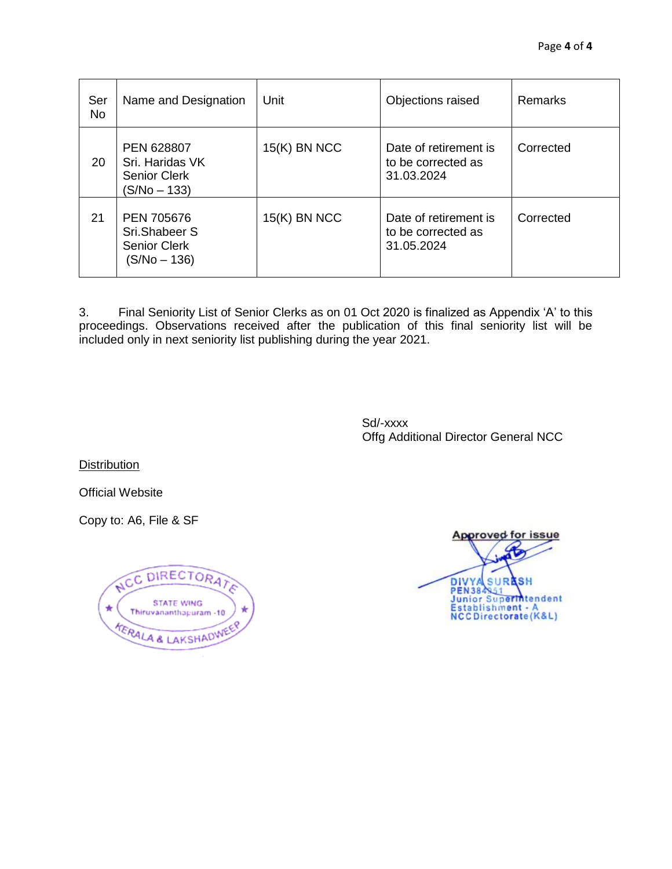| Ser<br><b>No</b> | Name and Designation                                                        | Unit           | Objections raised                                         | Remarks   |
|------------------|-----------------------------------------------------------------------------|----------------|-----------------------------------------------------------|-----------|
| 20               | <b>PEN 628807</b><br>Sri. Haridas VK<br><b>Senior Clerk</b><br>(S/No – 133) | $15(K)$ BN NCC | Date of retirement is<br>to be corrected as<br>31.03.2024 | Corrected |
| 21               | <b>PEN 705676</b><br>Sri.Shabeer S<br><b>Senior Clerk</b><br>$(S/No - 136)$ | $15(K)$ BN NCC | Date of retirement is<br>to be corrected as<br>31.05.2024 | Corrected |

3. Final Seniority List of Senior Clerks as on 01 Oct 2020 is finalized as Appendix 'A' to this proceedings. Observations received after the publication of this final seniority list will be included only in next seniority list publishing during the year 2021.

> Sd/-xxxx Offg Additional Director General NCC

**Distribution** 

Official Website

Copy to: A6, File & SF

C DIRECTORAT AC E **STATE WING**  $\star$ Thiruvananthapuram -10 KERALA & LAKSHADWEER

Approved for issue DIVYA SURASH<br>PEN384851<br>Junior Superintendent Establishment - A<br>NCCDirectorate (K&L)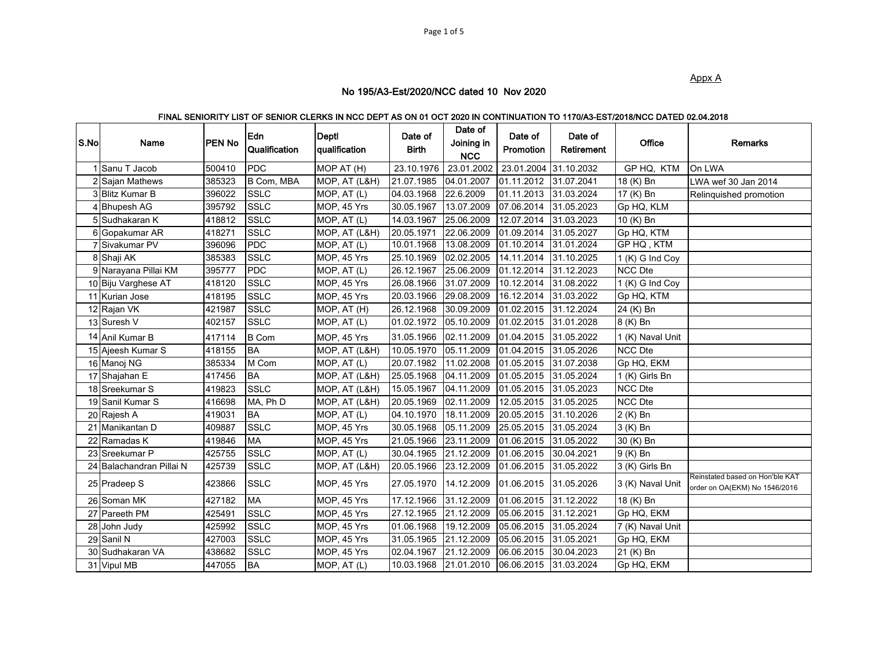Appx A

#### No 195/A3-Est/2020/NCC dated 10 Nov 2020

#### FINAL SENIORITY LIST OF SENIOR CLERKS IN NCC DEPT AS ON 01 OCT 2020 IN CONTINUATION TO 1170/A3-EST/2018/NCC DATED 02.04.2018

| S.No | Name                     | PEN No | Edn<br>Qualification | Deptl<br>qualification | Date of<br><b>Birth</b> | Date of<br>Joining in<br><b>NCC</b> | Date of<br>Promotion | Date of<br>Retirement    | Office           | <b>Remarks</b>                                                   |
|------|--------------------------|--------|----------------------|------------------------|-------------------------|-------------------------------------|----------------------|--------------------------|------------------|------------------------------------------------------------------|
|      | 1 Sanu T Jacob           | 500410 | <b>PDC</b>           | MOP AT (H)             | 23.10.1976              | 23.01.2002                          |                      | 23.01.2004 31.10.2032    | GP HQ, KTM       | On LWA                                                           |
|      | 2 Sajan Mathews          | 385323 | B Com, MBA           | MOP, AT (L&H)          | 21.07.1985              | 04.01.2007                          | 01.11.2012           | 31.07.2041               | 18 (K) Bn        | LWA wef 30 Jan 2014                                              |
|      | 3 Blitz Kumar B          | 396022 | <b>SSLC</b>          | MOP, AT (L)            | 04.03.1968              | 22.6.2009                           | 01.11.2013           | 31.03.2024               | 17 (K) Bn        | Relinguished promotion                                           |
|      | 4 Bhupesh AG             | 395792 | <b>SSLC</b>          | MOP, 45 Yrs            | 30.05.1967              | 13.07.2009                          | 07.06.2014           | 31.05.2023               | Gp HQ, KLM       |                                                                  |
|      | 5 Sudhakaran K           | 418812 | <b>SSLC</b>          | MOP, AT (L)            | 14.03.1967              | 25.06.2009                          | 12.07.2014           | 31.03.2023               | 10 (K) Bn        |                                                                  |
|      | 6 Gopakumar AR           | 418271 | <b>SSLC</b>          | MOP, AT (L&H)          | 20.05.1971              | 22.06.2009                          | 01.09.2014           | 31.05.2027               | Gp HQ, KTM       |                                                                  |
|      | 7 Sivakumar PV           | 396096 | <b>PDC</b>           | MOP, AT (L)            | 10.01.1968              | 13.08.2009                          | 01.10.2014           | 31.01.2024               | GP HQ, KTM       |                                                                  |
|      | 8 Shaji AK               | 385383 | <b>SSLC</b>          | MOP, 45 Yrs            | 25.10.1969              | 02.02.2005                          | 14.11.2014           | 31.10.2025               | 1 (K) G Ind Coy  |                                                                  |
|      | 9 Narayana Pillai KM     | 395777 | <b>PDC</b>           | MOP, AT (L)            | 26.12.1967              | 25.06.2009                          | 01.12.2014           | $\overline{31}$ .12.2023 | <b>NCC</b> Dte   |                                                                  |
|      | 10 Biju Varghese AT      | 418120 | <b>SSLC</b>          | MOP, 45 Yrs            | 26.08.1966              | 31.07.2009                          | 10.12.2014           | 31.08.2022               | 1 (K) G Ind Coy  |                                                                  |
|      | 11 Kurian Jose           | 418195 | <b>SSLC</b>          | MOP, 45 Yrs            | 20.03.1966              | 29.08.2009                          | 16.12.2014           | 31.03.2022               | Gp HQ, KTM       |                                                                  |
|      | 12 Rajan VK              | 421987 | <b>SSLC</b>          | MOP, AT (H)            | 26.12.1968              | 30.09.2009                          | 01.02.2015           | 31.12.2024               | 24 (K) Bn        |                                                                  |
|      | 13 Suresh V              | 402157 | <b>SSLC</b>          | MOP, AT (L)            | 01.02.1972              | 05.10.2009                          | 01.02.2015           | 31.01.2028               | 8 (K) Bn         |                                                                  |
|      | 14 Anil Kumar B          | 417114 | <b>B</b> Com         | MOP, 45 Yrs            | 31.05.1966              | 02.11.2009                          | 01.04.2015           | 31.05.2022               | 1 (K) Naval Unit |                                                                  |
|      | 15 Ajeesh Kumar S        | 418155 | <b>BA</b>            | MOP, AT (L&H)          | 10.05.1970              | 05.11.2009                          | 01.04.2015           | 31.05.2026               | <b>NCC Dte</b>   |                                                                  |
|      | 16 Manoj NG              | 385334 | M Com                | MOP, AT (L)            | 20.07.1982              | 11.02.2008                          | 01.05.2015           | 31.07.2038               | Gp HQ, EKM       |                                                                  |
|      | 17 Shajahan E            | 417456 | <b>BA</b>            | MOP, AT (L&H)          | 25.05.1968              | 04.11.2009                          | 01.05.2015           | 31.05.2024               | 1 (K) Girls Bn   |                                                                  |
|      | 18 Sreekumar S           | 419823 | <b>SSLC</b>          | MOP, AT (L&H)          | 15.05.1967              | 04.11.2009                          | 01.05.2015           | 31.05.2023               | <b>NCC Dte</b>   |                                                                  |
|      | 19 Sanil Kumar S         | 416698 | MA, Ph D             | MOP, AT (L&H)          | 20.05.1969              | 02.11.2009                          | 12.05.2015           | 31.05.2025               | NCC Dte          |                                                                  |
|      | 20 Rajesh A              | 419031 | <b>BA</b>            | MOP, AT (L)            | 04.10.1970              | 18.11.2009                          | 20.05.2015           | 31.10.2026               | 2 (K) Bn         |                                                                  |
|      | 21 Manikantan D          | 409887 | <b>SSLC</b>          | MOP, 45 Yrs            | 30.05.1968              | 05.11.2009                          | 25.05.2015           | 31.05.2024               | 3 (K) Bn         |                                                                  |
|      | 22 Ramadas K             | 419846 | <b>MA</b>            | MOP, 45 Yrs            | 21.05.1966              | 23.11.2009                          | 01.06.2015           | 31.05.2022               | 30 (K) Bn        |                                                                  |
|      | 23 Sreekumar P           | 425755 | <b>SSLC</b>          | MOP, AT (L)            | 30.04.1965              | 21.12.2009                          | 01.06.2015           | 30.04.2021               | 9 (K) Bn         |                                                                  |
|      | 24 Balachandran Pillai N | 425739 | <b>SSLC</b>          | MOP, AT (L&H)          | 20.05.1966              | 23.12.2009                          | 01.06.2015           | 31.05.2022               | 3 (K) Girls Bn   |                                                                  |
|      | 25 Pradeep S             | 423866 | <b>SSLC</b>          | MOP, 45 Yrs            | 27.05.1970              | 14.12.2009                          | 01.06.2015           | 31.05.2026               | 3 (K) Naval Unit | Reinstated based on Hon'ble KAT<br>order on OA(EKM) No 1546/2016 |
|      | 26 Soman MK              | 427182 | <b>MA</b>            | MOP, 45 Yrs            | 17.12.1966              | 31.12.2009                          | 01.06.2015           | 31.12.2022               | 18 (K) Bn        |                                                                  |
|      | 27 Pareeth PM            | 425491 | <b>SSLC</b>          | MOP, 45 Yrs            | 27.12.1965              | 21.12.2009                          | 05.06.2015           | 31.12.2021               | Gp HQ, EKM       |                                                                  |
|      | 28 John Judy             | 425992 | <b>SSLC</b>          | MOP, 45 Yrs            | 01.06.1968              | 19.12.2009                          | 05.06.2015           | 31.05.2024               | 7 (K) Naval Unit |                                                                  |
|      | 29 Sanil N               | 427003 | <b>SSLC</b>          | MOP, 45 Yrs            | 31.05.1965              | 21.12.2009                          | 05.06.2015           | 31.05.2021               | Gp HQ, EKM       |                                                                  |
|      | 30 Sudhakaran VA         | 438682 | <b>SSLC</b>          | MOP, 45 Yrs            | 02.04.1967              | 21.12.2009                          | 06.06.2015           | 30.04.2023               | 21 (K) Bn        |                                                                  |
|      | 31 Vipul MB              | 447055 | <b>BA</b>            | MOP, AT (L)            | 10.03.1968              | 21.01.2010                          | 06.06.2015           | 31.03.2024               | Gp HQ, EKM       |                                                                  |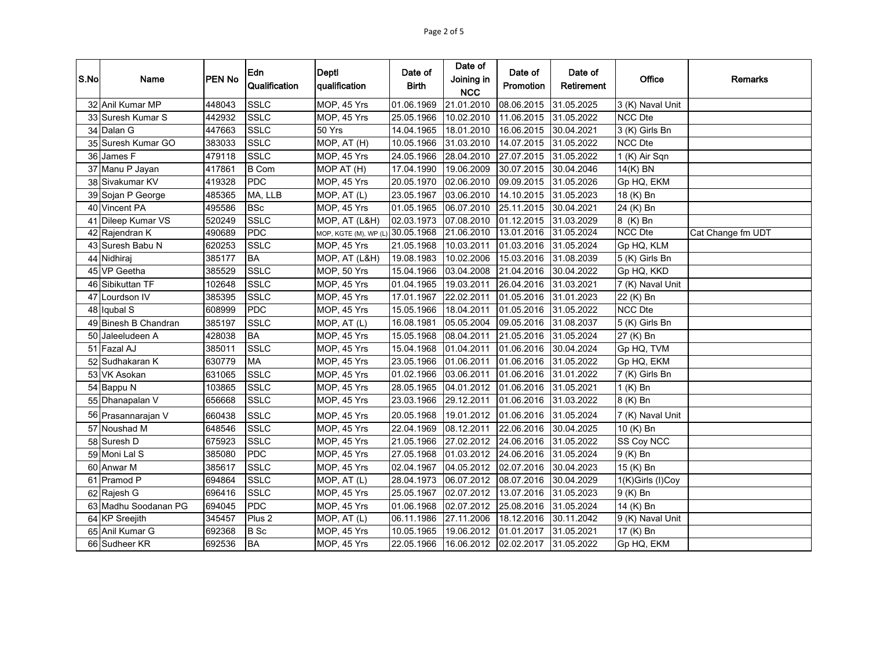| S.No | Name                 | PEN No | Edn<br>Qualification | <b>Depti</b><br>qualification    | Date of<br><b>Birth</b> | Date of<br>Joining in<br><b>NCC</b> | Date of<br>Promotion | Date of<br>Retirement | Office           | Remarks           |
|------|----------------------|--------|----------------------|----------------------------------|-------------------------|-------------------------------------|----------------------|-----------------------|------------------|-------------------|
|      | 32 Anil Kumar MP     | 448043 | <b>SSLC</b>          | MOP, 45 Yrs                      | 01.06.1969              | 21.01.2010                          | 08.06.2015           | 31.05.2025            | 3 (K) Naval Unit |                   |
|      | 33 Suresh Kumar S    | 442932 | <b>SSLC</b>          | MOP, 45 Yrs                      | 25.05.1966              | 10.02.2010                          | 11.06.2015           | 31.05.2022            | <b>NCC Dte</b>   |                   |
|      | 34 Dalan G           | 447663 | <b>SSLC</b>          | 50 Yrs                           | 14.04.1965              | 18.01.2010                          | 16.06.2015           | 30.04.2021            | 3 (K) Girls Bn   |                   |
|      | 35 Suresh Kumar GO   | 383033 | <b>SSLC</b>          | MOP, AT (H)                      | 10.05.1966              | 31.03.2010                          | 14.07.2015           | 31.05.2022            | <b>NCC Dte</b>   |                   |
|      | 36 James F           | 479118 | <b>SSLC</b>          | MOP, 45 Yrs                      | 24.05.1966              | 28.04.2010                          | 27.07.2015           | 31.05.2022            | 1 (K) Air Sqn    |                   |
|      | 37 Manu P Jayan      | 417861 | <b>B</b> Com         | MOP AT (H)                       | 17.04.1990              | 19.06.2009                          | 30.07.2015           | 30.04.2046            | 14(K) BN         |                   |
|      | 38 Sivakumar KV      | 419328 | <b>PDC</b>           | MOP, 45 Yrs                      | 20.05.1970              | 02.06.2010                          | 09.09.2015           | 31.05.2026            | Gp HQ, EKM       |                   |
|      | 39 Sojan P George    | 485365 | MA, LLB              | MOP, AT (L)                      | 23.05.1967              | 03.06.2010                          | 14.10.2015           | 31.05.2023            | 18 (K) Bn        |                   |
|      | 40 Vincent PA        | 495586 | <b>BSc</b>           | MOP, 45 Yrs                      | 01.05.1965              | 06.07.2010                          | 25.11.2015           | 30.04.2021            | 24 (K) Bn        |                   |
|      | 41 Dileep Kumar VS   | 520249 | <b>SSLC</b>          | MOP, AT (L&H)                    | 02.03.1973              | 07.08.2010                          | 01.12.2015           | 31.03.2029            | 8 (K) Bn         |                   |
|      | 42 Rajendran K       | 490689 | <b>PDC</b>           | MOP, KGTE (M), WP (L) 30.05.1968 |                         | 21.06.2010                          | 13.01.2016           | 31.05.2024            | <b>NCC Dte</b>   | Cat Change fm UDT |
|      | 43 Suresh Babu N     | 620253 | <b>SSLC</b>          | MOP, 45 Yrs                      | 21.05.1968              | 10.03.2011                          | 01.03.2016           | 31.05.2024            | Gp HQ, KLM       |                   |
|      | 44 Nidhiraj          | 385177 | <b>BA</b>            | MOP, AT (L&H)                    | 19.08.1983              | 10.02.2006                          | 15.03.2016           | 31.08.2039            | 5 (K) Girls Bn   |                   |
|      | 45 VP Geetha         | 385529 | <b>SSLC</b>          | MOP, 50 Yrs                      | 15.04.1966              | 03.04.2008                          | 21.04.2016           | 30.04.2022            | Gp HQ, KKD       |                   |
| 46   | Sibikuttan TF        | 102648 | <b>SSLC</b>          | MOP, 45 Yrs                      | 01.04.1965              | 19.03.2011                          | 26.04.2016           | 31.03.2021            | 7 (K) Naval Unit |                   |
| 47   | Lourdson IV          | 385395 | SSLC                 | MOP, 45 Yrs                      | 17.01.1967              | 22.02.2011                          | 01.05.2016           | 31.01.2023            | 22 (K) Bn        |                   |
|      | 48 Iqubal S          | 608999 | <b>PDC</b>           | MOP, 45 Yrs                      | 15.05.1966              | 18.04.2011                          | 01.05.2016           | 31.05.2022            | NCC Dte          |                   |
|      | 49 Binesh B Chandran | 385197 | <b>SSLC</b>          | MOP, AT (L)                      | 16.08.1981              | 05.05.2004                          | 09.05.2016           | 31.08.2037            | 5 (K) Girls Bn   |                   |
| 50   | Jaleeludeen A        | 428038 | <b>BA</b>            | MOP, 45 Yrs                      | 15.05.1968              | 08.04.2011                          | 21.05.2016           | 31.05.2024            | 27 (K) Bn        |                   |
|      | 51 Fazal AJ          | 385011 | <b>SSLC</b>          | MOP, 45 Yrs                      | 15.04.1968              | 01.04.2011                          | 01.06.2016           | 30.04.2024            | Gp HQ, TVM       |                   |
| 52   | Sudhakaran K         | 630779 | <b>MA</b>            | MOP, 45 Yrs                      | 23.05.1966              | 01.06.2011                          | 01.06.2016           | 31.05.2022            | Gp HQ, EKM       |                   |
|      | 53 VK Asokan         | 631065 | <b>SSLC</b>          | MOP, 45 Yrs                      | 01.02.1966              | 03.06.2011                          | 01.06.2016           | 31.01.2022            | 7 (K) Girls Bn   |                   |
|      | 54 Bappu N           | 103865 | <b>SSLC</b>          | MOP, 45 Yrs                      | 28.05.1965              | 04.01.2012                          | 01.06.2016           | 31.05.2021            | 1 (K) Bn         |                   |
|      | 55 Dhanapalan V      | 656668 | <b>SSLC</b>          | MOP, 45 Yrs                      | 23.03.1966              | 29.12.2011                          | 01.06.2016           | 31.03.2022            | 8 (K) Bn         |                   |
|      | 56 Prasannarajan V   | 660438 | <b>SSLC</b>          | MOP, 45 Yrs                      | 20.05.1968              | 19.01.2012                          | 01.06.2016           | 31.05.2024            | 7 (K) Naval Unit |                   |
| 57   | Noushad M            | 648546 | <b>SSLC</b>          | MOP, 45 Yrs                      | 22.04.1969              | 08.12.2011                          | 22.06.2016           | 30.04.2025            | 10 (K) Bn        |                   |
|      | 58 Suresh D          | 675923 | <b>SSLC</b>          | MOP, 45 Yrs                      | 21.05.1966              | 27.02.2012                          | 24.06.2016           | 31.05.2022            | SS Coy NCC       |                   |
|      | 59 Moni Lal S        | 385080 | PDC                  | MOP, 45 Yrs                      | 27.05.1968              | 01.03.2012                          | 24.06.2016           | 31.05.2024            | 9 (K) Bn         |                   |
|      | 60 Anwar M           | 385617 | <b>SSLC</b>          | MOP, 45 Yrs                      | 02.04.1967              | 04.05.2012                          | 02.07.2016           | 30.04.2023            | 15 (K) Bn        |                   |
| 61   | Pramod P             | 694864 | <b>SSLC</b>          | MOP, AT (L)                      | 28.04.1973              | 06.07.2012                          | 08.07.2016           | 30.04.2029            | 1(K)Girls (I)Coy |                   |
|      | 62 Rajesh G          | 696416 | <b>SSLC</b>          | MOP, 45 Yrs                      | 25.05.1967              | 02.07.2012                          | 13.07.2016           | 31.05.2023            | 9 (K) Bn         |                   |
|      | 63 Madhu Soodanan PG | 694045 | <b>PDC</b>           | MOP, 45 Yrs                      | 01.06.1968              | 02.07.2012                          | 25.08.2016           | 31.05.2024            | 14 (K) Bn        |                   |
|      | 64 KP Sreejith       | 345457 | Plus <sub>2</sub>    | MOP, AT (L)                      | 06.11.1986              | 27.11.2006                          | 18.12.2016           | 30.11.2042            | 9 (K) Naval Unit |                   |
|      | 65 Anil Kumar G      | 692368 | <b>B</b> Sc          | MOP, 45 Yrs                      | 10.05.1965              | 19.06.2012                          | 01.01.2017           | 31.05.2021            | 17 (K) Bn        |                   |
|      | 66 Sudheer KR        | 692536 | <b>BA</b>            | MOP, 45 Yrs                      | 22.05.1966              | 16.06.2012                          | 02.02.2017           | 31.05.2022            | Gp HQ, EKM       |                   |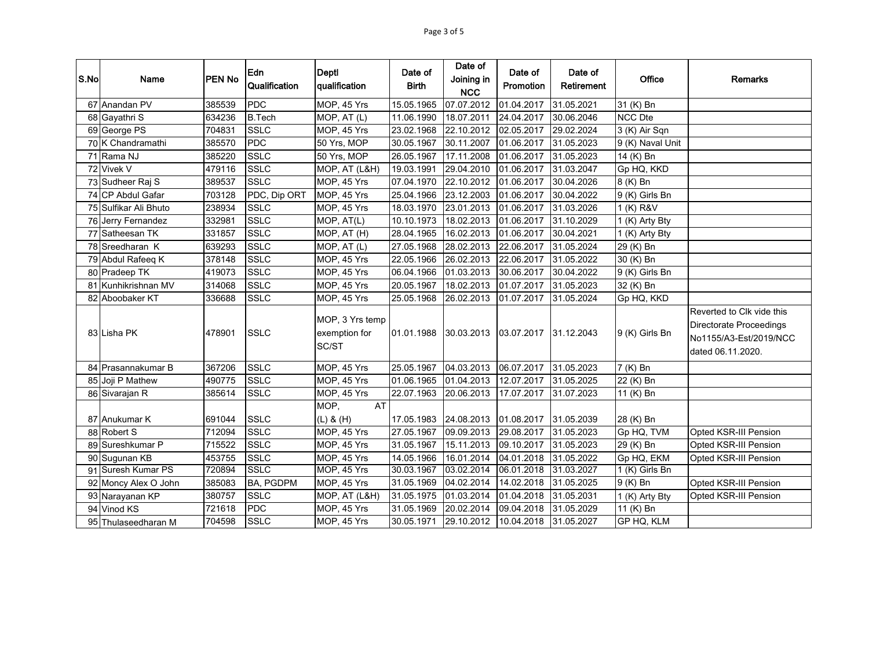| S.No | Name                  | <b>PEN No</b> | Edn<br>Qualification | <b>Depti</b><br>qualification             | Date of<br><b>Birth</b> | Date of<br>Joining in<br><b>NCC</b> | Date of<br>Promotion | Date of<br><b>Retirement</b> | Office           | <b>Remarks</b>                                                                                      |
|------|-----------------------|---------------|----------------------|-------------------------------------------|-------------------------|-------------------------------------|----------------------|------------------------------|------------------|-----------------------------------------------------------------------------------------------------|
|      | 67 Anandan PV         | 385539        | <b>PDC</b>           | MOP, 45 Yrs                               | 15.05.1965              | 07.07.2012                          | 01.04.2017           | 31.05.2021                   | 31 (K) Bn        |                                                                                                     |
|      | 68 Gayathri S         | 634236        | <b>B.Tech</b>        | MOP, AT (L)                               | 11.06.1990              | 18.07.2011                          | 24.04.2017           | 30.06.2046                   | <b>NCC Dte</b>   |                                                                                                     |
|      | 69 George PS          | 704831        | <b>SSLC</b>          | MOP, 45 Yrs                               | 23.02.1968              | 22.10.2012                          | 02.05.2017           | 29.02.2024                   | 3 (K) Air Sqn    |                                                                                                     |
|      | 70 K Chandramathi     | 385570        | <b>PDC</b>           | 50 Yrs, MOP                               | 30.05.1967              | 30.11.2007                          | 01.06.2017           | 31.05.2023                   | 9 (K) Naval Unit |                                                                                                     |
|      | 71 Rama NJ            | 385220        | <b>SSLC</b>          | 50 Yrs, MOP                               | 26.05.1967              | 17.11.2008                          | 01.06.2017           | 31.05.2023                   | 14 (K) Bn        |                                                                                                     |
|      | 72 Vivek V            | 479116        | <b>SSLC</b>          | MOP, AT (L&H)                             | 19.03.1991              | 29.04.2010                          | 01.06.2017           | 31.03.2047                   | Gp HQ, KKD       |                                                                                                     |
|      | 73 Sudheer Raj S      | 389537        | <b>SSLC</b>          | MOP, 45 Yrs                               | 07.04.1970              | 22.10.2012                          | 01.06.2017           | 30.04.2026                   | 8 (K) Bn         |                                                                                                     |
|      | 74 CP Abdul Gafar     | 703128        | PDC, Dip ORT         | MOP, 45 Yrs                               | 25.04.1966              | 23.12.2003                          | 01.06.2017           | 30.04.2022                   | 9 (K) Girls Bn   |                                                                                                     |
|      | 75 Sulfikar Ali Bhuto | 238934        | <b>SSLC</b>          | MOP, 45 Yrs                               | 18.03.1970              | 23.01.2013                          | 01.06.2017           | 31.03.2026                   | 1 (K) R&V        |                                                                                                     |
|      | 76 Jerry Fernandez    | 332981        | <b>SSLC</b>          | MOP, AT(L)                                | 10.10.1973              | 18.02.2013                          | 01.06.2017           | 31.10.2029                   | 1 (K) Arty Bty   |                                                                                                     |
|      | 77 Satheesan TK       | 331857        | <b>SSLC</b>          | MOP, AT (H)                               | 28.04.1965              | 16.02.2013                          | 01.06.2017           | 30.04.2021                   | 1 (K) Arty Bty   |                                                                                                     |
|      | 78 Sreedharan K       | 639293        | <b>SSLC</b>          | MOP, AT (L)                               | 27.05.1968              | 28.02.2013                          | 22.06.2017           | 31.05.2024                   | 29 (K) Bn        |                                                                                                     |
|      | 79 Abdul Rafeeq K     | 378148        | <b>SSLC</b>          | MOP, 45 Yrs                               | 22.05.1966              | 26.02.2013                          | 22.06.2017           | 31.05.2022                   | 30 (K) Bn        |                                                                                                     |
|      | 80 Pradeep TK         | 419073        | <b>SSLC</b>          | MOP, 45 Yrs                               | 06.04.1966              | 01.03.2013                          | 30.06.2017           | 30.04.2022                   | 9 (K) Girls Bn   |                                                                                                     |
|      | 81 Kunhikrishnan MV   | 314068        | <b>SSLC</b>          | MOP, 45 Yrs                               | 20.05.1967              | 18.02.2013                          | 01.07.2017           | 31.05.2023                   | 32 (K) Bn        |                                                                                                     |
|      | 82 Aboobaker KT       | 336688        | <b>SSLC</b>          | MOP, 45 Yrs                               | 25.05.1968              | 26.02.2013                          | 01.07.2017           | 31.05.2024                   | Gp HQ, KKD       |                                                                                                     |
|      | 83 Lisha PK           | 478901        | <b>SSLC</b>          | MOP, 3 Yrs temp<br>exemption for<br>SC/ST | 01.01.1988              | 30.03.2013                          | 03.07.2017           | 31.12.2043                   | 9 (K) Girls Bn   | Reverted to Clk vide this<br>Directorate Proceedings<br>No1155/A3-Est/2019/NCC<br>dated 06.11.2020. |
|      | 84 Prasannakumar B    | 367206        | <b>SSLC</b>          | MOP, 45 Yrs                               | 25.05.1967              | 04.03.2013                          | 06.07.2017           | 31.05.2023                   | 7 (K) Bn         |                                                                                                     |
|      | 85 Joji P Mathew      | 490775        | <b>SSLC</b>          | MOP, 45 Yrs                               | 01.06.1965              | 01.04.2013                          | 12.07.2017           | 31.05.2025                   | 22 (K) Bn        |                                                                                                     |
|      | 86 Sivarajan R        | 385614        | <b>SSLC</b>          | MOP, 45 Yrs                               | 22.07.1963              | 20.06.2013                          | 17.07.2017           | 31.07.2023                   | 11 (K) Bn        |                                                                                                     |
|      | 87 Anukumar K         | 691044        | <b>SSLC</b>          | AT<br>MOP,<br>$(L)$ & $(H)$               | 17.05.1983              | 24.08.2013                          | 01.08.2017           | 31.05.2039                   | 28 (K) Bn        |                                                                                                     |
|      | 88 Robert S           | 712094        | <b>SSLC</b>          | MOP, 45 Yrs                               | 27.05.1967              | 09.09.2013                          | 29.08.2017           | 31.05.2023                   | Gp HQ, TVM       | Opted KSR-III Pension                                                                               |
|      | 89 Sureshkumar P      | 715522        | <b>SSLC</b>          | MOP, 45 Yrs                               | 31.05.1967              | 15.11.2013                          | 09.10.2017           | 31.05.2023                   | 29 (K) Bn        | Opted KSR-III Pension                                                                               |
|      | 90 Sugunan KB         | 453755        | <b>SSLC</b>          | MOP, 45 Yrs                               | 14.05.1966              | 16.01.2014                          | 04.01.2018           | 31.05.2022                   | Gp HQ, EKM       | Opted KSR-III Pension                                                                               |
|      | 91 Suresh Kumar PS    | 720894        | <b>SSLC</b>          | MOP, 45 Yrs                               | 30.03.1967              | 03.02.2014                          | 06.01.2018           | 31.03.2027                   | 1 (K) Girls Bn   |                                                                                                     |
|      | 92 Moncy Alex O John  | 385083        | BA, PGDPM            | MOP, 45 Yrs                               | 31.05.1969              | 04.02.2014                          | 14.02.2018           | 31.05.2025                   | 9 (K) Bn         | Opted KSR-III Pension                                                                               |
|      | 93 Narayanan KP       | 380757        | <b>SSLC</b>          | MOP, AT (L&H)                             | 31.05.1975              | 01.03.2014                          | 01.04.2018           | 31.05.2031                   | 1 (K) Arty Bty   | Opted KSR-III Pension                                                                               |
|      | 94 Vinod KS           | 721618        | <b>PDC</b>           | MOP, 45 Yrs                               | 31.05.1969              | 20.02.2014                          | 09.04.2018           | 31.05.2029                   | 11 (K) Bn        |                                                                                                     |
|      | 95 Thulaseedharan M   | 704598        | <b>SSLC</b>          | MOP, 45 Yrs                               | 30.05.1971              | 29.10.2012                          | 10.04.2018           | 31.05.2027                   | GP HQ, KLM       |                                                                                                     |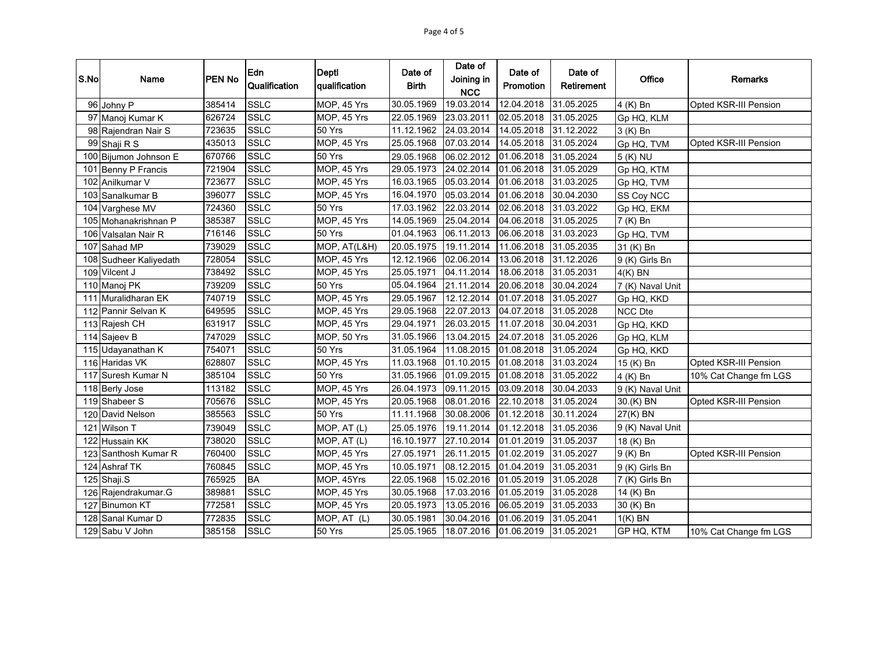| S.No             | Name                   | <b>PEN No</b> | Edn<br>Qualification | <b>Deptl</b><br>qualification | Date of<br><b>Birth</b> | Date of<br>Joining in<br><b>NCC</b> | Date of<br>Promotion  | Date of<br>Retirement | Office           | Remarks               |
|------------------|------------------------|---------------|----------------------|-------------------------------|-------------------------|-------------------------------------|-----------------------|-----------------------|------------------|-----------------------|
|                  | 96 Johny P             | 385414        | <b>SSLC</b>          | MOP, 45 Yrs                   | 30.05.1969              | 19.03.2014                          | 12.04.2018            | 31.05.2025            | 4 (K) Bn         | Opted KSR-III Pension |
|                  | 97 Manoj Kumar K       | 626724        | <b>SSLC</b>          | MOP, 45 Yrs                   | 22.05.1969              | 23.03.2011                          | 02.05.2018            | 31.05.2025            | Gp HQ, KLM       |                       |
|                  | 98 Rajendran Nair S    | 723635        | <b>SSLC</b>          | 50 Yrs                        | 11.12.1962              | 24.03.2014                          | 14.05.2018            | 31.12.2022            | 3 (K) Bn         |                       |
|                  | 99 Shaji R S           | 435013        | <b>SSLC</b>          | MOP, 45 Yrs                   | 25.05.1968              | 07.03.2014                          | 14.05.2018            | 31.05.2024            | Gp HQ, TVM       | Opted KSR-III Pension |
|                  | 100 Bijumon Johnson E  | 670766        | <b>SSLC</b>          | 50 Yrs                        | 29.05.1968              | 06.02.2012                          | 01.06.2018            | 31.05.2024            | 5 (K) NU         |                       |
| 101              | <b>Benny P Francis</b> | 721904        | <b>SSLC</b>          | MOP, 45 Yrs                   | 29.05.1973              | 24.02.2014                          | 01.06.2018            | 31.05.2029            | Gp HQ, KTM       |                       |
|                  | 102 Anilkumar V        | 723677        | <b>SSLC</b>          | MOP, 45 Yrs                   | 16.03.1965              | 05.03.2014                          | 01.06.2018            | 31.03.2025            | Gp HQ, TVM       |                       |
| 103              | Sanalkumar B           | 396077        | <b>SSLC</b>          | MOP, 45 Yrs                   | 16.04.1970              | 05.03.2014                          | 01.06.2018            | 30.04.2030            | SS Coy NCC       |                       |
|                  | 104 Varghese MV        | 724360        | <b>SSLC</b>          | 50 Yrs                        | 17.03.1962              | 22.03.2014                          | 02.06.2018            | 31.03.2022            | Gp HQ, EKM       |                       |
|                  | 105 Mohanakrishnan P   | 385387        | <b>SSLC</b>          | MOP, 45 Yrs                   | 14.05.1969              | 25.04.2014                          | 04.06.2018            | 31.05.2025            | 7 (K) Bn         |                       |
| 106              | Valsalan Nair R        | 716146        | <b>SSLC</b>          | 50 Yrs                        | 01.04.1963              | 06.11.2013                          | 06.06.2018            | 31.03.2023            | Gp HQ, TVM       |                       |
| 107              | Sahad MP               | 739029        | SSLC                 | MOP, AT(L&H)                  | 20.05.1975              | 19.11.2014                          | 11.06.2018            | 31.05.2035            | 31 (K) Bn        |                       |
| 108              | Sudheer Kaliyedath     | 728054        | <b>SSLC</b>          | MOP, 45 Yrs                   | 12.12.1966              | 02.06.2014                          | 13.06.2018            | 31.12.2026            | 9 (K) Girls Bn   |                       |
|                  | 109 Vilcent J          | 738492        | <b>SSLC</b>          | MOP, 45 Yrs                   | 25.05.1971              | 04.11.2014                          | 18.06.2018            | 31.05.2031            | $4(K)$ BN        |                       |
|                  | 110 Manoj PK           | 739209        | <b>SSLC</b>          | 50 Yrs                        | 05.04.1964              | 21.11.2014                          | 20.06.2018            | 30.04.2024            | 7 (K) Naval Unit |                       |
|                  | 111 Muralidharan EK    | 740719        | <b>SSLC</b>          | MOP, 45 Yrs                   | 29.05.1967              | 12.12.2014                          | 01.07.2018            | 31.05.2027            | Gp HQ, KKD       |                       |
|                  | 112 Pannir Selvan K    | 649595        | <b>SSLC</b>          | MOP, 45 Yrs                   | 29.05.1968              | 22.07.2013                          | 04.07.2018            | 31.05.2028            | <b>NCC Dte</b>   |                       |
|                  | 113 Rajesh CH          | 631917        | <b>SSLC</b>          | MOP, 45 Yrs                   | 29.04.1971              | 26.03.2015                          | 11.07.2018            | 30.04.2031            | Gp HQ, KKD       |                       |
|                  | 114 Sajeev B           | 747029        | <b>SSLC</b>          | MOP, 50 Yrs                   | 31.05.1966              | 13.04.2015                          | 24.07.2018            | 31.05.2026            | Gp HQ, KLM       |                       |
|                  | 115 Udayanathan K      | 754071        | <b>SSLC</b>          | 50 Yrs                        | 31.05.1964              | 11.08.2015                          | 01.08.2018            | 31.05.2024            | Gp HQ, KKD       |                       |
|                  | 116 Haridas VK         | 628807        | <b>SSLC</b>          | MOP, 45 Yrs                   | 11.03.1968              | 01.10.2015                          | 01.08.2018            | 31.03.2024            | 15 (K) Bn        | Opted KSR-III Pension |
| 117              | Suresh Kumar N         | 385104        | <b>SSLC</b>          | 50 Yrs                        | 31.05.1966              | 01.09.2015                          | 01.08.2018            | 31.05.2022            | 4 (K) Bn         | 10% Cat Change fm LGS |
|                  | 118 Berly Jose         | 113182        | <b>SSLC</b>          | MOP, 45 Yrs                   | 26.04.1973              | 09.11.2015                          | 03.09.2018            | 30.04.2033            | 9 (K) Naval Unit |                       |
|                  | 119 Shabeer S          | 705676        | <b>SSLC</b>          | MOP, 45 Yrs                   | 20.05.1968              | 08.01.2016                          | 22.10.2018            | 31.05.2024            | 30.(K) BN        | Opted KSR-III Pension |
| 120 <sub>l</sub> | David Nelson           | 385563        | <b>SSLC</b>          | 50 Yrs                        | 11.11.1968              | 30.08.2006                          | 01.12.2018            | 30.11.2024            | $27(K)$ BN       |                       |
| 121              | Wilson T               | 739049        | <b>SSLC</b>          | MOP, AT (L)                   | 25.05.1976              | 19.11.2014                          | 01.12.2018            | 31.05.2036            | 9 (K) Naval Unit |                       |
| 122              | <b>Hussain KK</b>      | 738020        | SSLC                 | MOP, AT (L)                   | 16.10.1977              | 27.10.2014                          | 01.01.2019            | 31.05.2037            | 18 (K) Bn        |                       |
| 123 <sub>l</sub> | Santhosh Kumar R       | 760400        | <b>SSLC</b>          | MOP, 45 Yrs                   | 27.05.1971              | 26.11.2015                          | 01.02.2019            | 31.05.2027            | 9 (K) Bn         | Opted KSR-III Pension |
|                  | 124 Ashraf TK          | 760845        | <b>SSLC</b>          | MOP, 45 Yrs                   | 10.05.1971              | 08.12.2015                          | 01.04.2019            | 31.05.2031            | 9 (K) Girls Bn   |                       |
|                  | 125 Shaji.S            | 765925        | <b>BA</b>            | MOP, 45Yrs                    | 22.05.1968              | 15.02.2016                          | 01.05.2019            | 31.05.2028            | 7 (K) Girls Bn   |                       |
|                  | 126 Rajendrakumar.G    | 389881        | <b>SSLC</b>          | MOP, 45 Yrs                   | 30.05.1968              | 17.03.2016                          | 01.05.2019            | 31.05.2028            | 14 (K) Bn        |                       |
|                  | 127 Binumon KT         | 772581        | <b>SSLC</b>          | MOP, 45 Yrs                   | 20.05.1973              | 13.05.2016                          | 06.05.2019            | 31.05.2033            | 30 (K) Bn        |                       |
|                  | 128 Sanal Kumar D      | 772835        | <b>SSLC</b>          | MOP, AT (L)                   | 30.05.1981              | 30.04.2016                          | 01.06.2019            | 31.05.2041            | $1(K)$ BN        |                       |
|                  | 129 Sabu V John        | 385158        | <b>SSLC</b>          | 50 Yrs                        | 25.05.1965              | 18.07.2016                          | 01.06.2019 31.05.2021 |                       | GP HQ, KTM       | 10% Cat Change fm LGS |